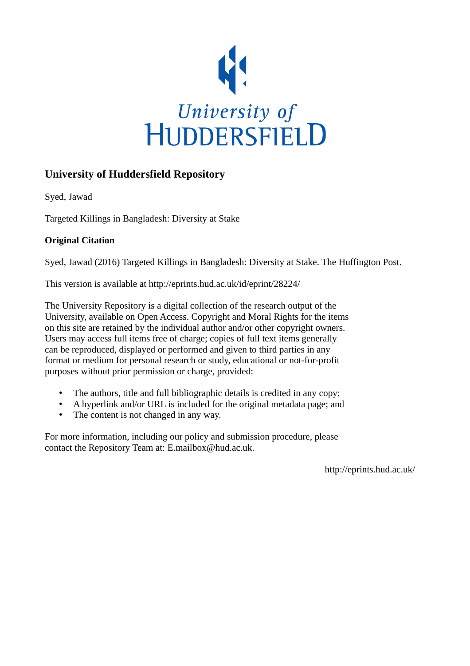

## **University of Huddersfield Repository**

Syed, Jawad

Targeted Killings in Bangladesh: Diversity at Stake

## **Original Citation**

Syed, Jawad (2016) Targeted Killings in Bangladesh: Diversity at Stake. The Huffington Post.

This version is available at http://eprints.hud.ac.uk/id/eprint/28224/

The University Repository is a digital collection of the research output of the University, available on Open Access. Copyright and Moral Rights for the items on this site are retained by the individual author and/or other copyright owners. Users may access full items free of charge; copies of full text items generally can be reproduced, displayed or performed and given to third parties in any format or medium for personal research or study, educational or not-for-profit purposes without prior permission or charge, provided:

- The authors, title and full bibliographic details is credited in any copy;
- A hyperlink and/or URL is included for the original metadata page; and
- The content is not changed in any way.

For more information, including our policy and submission procedure, please contact the Repository Team at: E.mailbox@hud.ac.uk.

http://eprints.hud.ac.uk/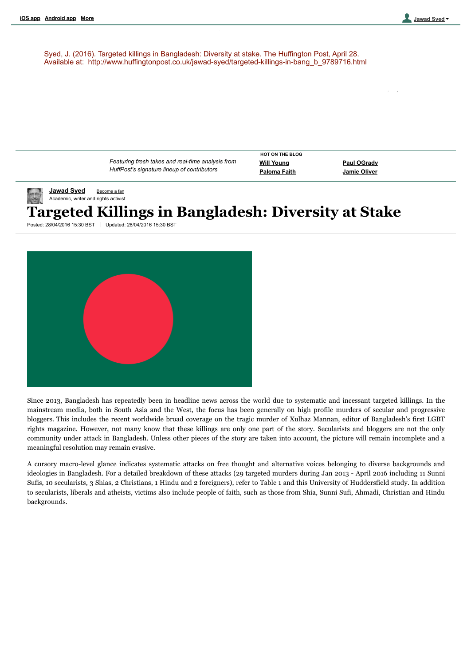Search The Huffington Post Search

Syed, J. (2016). Targeted killings in Bangladesh: Diversity at stake. The Huffington Post, April 28. Available at: http://www.huffingtonpost.co.uk/jawad-syed/targeted-killings-in-bang\_b\_9789716.html

**[Jawad](http://www.huffingtonpost.co.uk/jawad-syed/) Syed** [Become](http://www.huffingtonpost.co.uk/users/becomeFan.php?of=hp_blogger_Jawad%20Syed) a fan Academic, writer and rights activist Posted: 28/04/2016 15:30 BST Updated: 28/04/2016 15:30 BST **Targeted Killings in Bangladesh: Diversity at Stake** *Featuring fresh takes and realtime analysis from HuffPost's signature lineup of contributors* **Will [Young](http://www.huffingtonpost.co.uk/will-young/will-young-nicky-morgan_b_9271840.html?utm_hp_ref=UK) Paul [OGrady](http://www.huffingtonpost.co.uk/paul-ogrady/paul-ogrady-sally-army-and-me_b_9550946.html?utm_hp_ref=UK) [Paloma](http://www.huffingtonpost.co.uk/paloma-faith/prince-fly-with-the-doves_b_9765610.html?utm_hp_ref=UK) Faith [Jamie](http://www.huffingtonpost.co.uk/jamie-oliver/jamie-oliver-sugar-food-revolution_b_9565484.html?utm_hp_ref=UK) Oliver HOT ON THE BLOG**



Since 2013, Bangladesh has repeatedly been in headline news across the world due to systematic and incessant targeted killings. In the mainstream media, both in South Asia and the West, the focus has been generally on high profile murders of secular and progressive bloggers. This includes the recent worldwide broad coverage on the tragic murder of Xulhaz Mannan, editor of Bangladesh's first LGBT rights magazine. However, not many know that these killings are only one part of the story. Secularists and bloggers are not the only community under attack in Bangladesh. Unless other pieces of the story are taken into account, the picture will remain incomplete and a meaningful resolution may remain evasive.

A cursory macro-level glance indicates systematic attacks on free thought and alternative voices belonging to diverse backgrounds and ideologies in Bangladesh. For a detailed breakdown of these attacks (29 targeted murders during Jan 2013 - April 2016 including 11 Sunni Sufis, 10 secularists, 3 Shias, 2 Christians, 1 Hindu and 2 foreigners), refer to Table 1 and this University of [Huddersfield](http://blogs.hud.ac.uk/academics/blog/2016/04/27/bangladesh-lgbt-editor-hacked-to-death/) study. In addition to secularists, liberals and atheists, victims also include people of faith, such as those from Shia, Sunni Sufi, Ahmadi, Christian and Hindu backgrounds.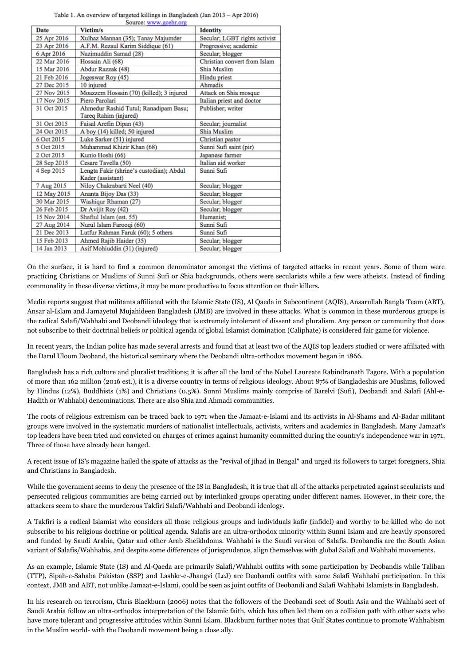Table 1. An overview of targeted killings in Bangladesh (Jan 2013 - Apr 2016)

| Date        | Victim/s                                 | <b>Identity</b>               |
|-------------|------------------------------------------|-------------------------------|
| 25 Apr 2016 | Xulhaz Mannan (35); Tanay Majumder       | Secular; LGBT rights activist |
| 23 Apr 2016 | A.F.M. Rezaul Karim Siddique (61)        | Progressive; academic         |
| 6 Apr 2016  | Nazimuddin Samad (28)                    | Secular; blogger              |
| 22 Mar 2016 | Hossain Ali (68)                         | Christian convert from Islam  |
| 15 Mar 2016 | Abdur Razzak (48)                        | Shia Muslim                   |
| 21 Feb 2016 | Jogeswar Roy (45)                        | Hindu priest                  |
| 27 Dec 2015 | 10 injured                               | Ahmadis                       |
| 27 Nov 2015 | Moazzem Hossain (70) (killed); 3 injured | Attack on Shia mosque         |
| 17 Nov 2015 | Piero Parolari                           | Italian priest and doctor     |
| 31 Oct 2015 | Ahmedur Rashid Tutul; Ranadipam Basu;    | Publisher; writer             |
|             | Tareq Rahim (injured)                    |                               |
| 31 Oct 2015 | Faisal Arefin Dipan (43)                 | Secular; journalist           |
| 24 Oct 2015 | A boy (14) killed; 50 injured            | Shia Muslim                   |
| 6 Oct 2015  | Luke Sarker (51) injured                 | Christian pastor              |
| 5 Oct 2015  | Muhammad Khizir Khan (68)                | Sunni Sufi saint (pir)        |
| 2 Oct 2015  | Kunio Hoshi (66)                         | Japanese farmer               |
| 28 Sep 2015 | Cesare Tavella (50)                      | Italian aid worker            |
| 4 Sep 2015  | Lengta Fakir (shrine's custodian); Abdul | Sunni Sufi                    |
|             | Kader (assistant)                        |                               |
| 7 Aug 2015  | Niloy Chakrabarti Neel (40)              | Secular; blogger              |
| 12 May 2015 | Ananta Bijoy Das (33)                    | Secular; blogger              |
| 30 Mar 2015 | Washiqur Rhaman (27)                     | Secular; blogger              |
| 26 Feb 2015 | Dr Avijit Roy (42)                       | Secular; blogger              |
| 15 Nov 2014 | Shafiul Islam (est. 55)                  | Humanist:                     |
| 27 Aug 2014 | Nurul Islam Farooqi (60)                 | Sunni Sufi                    |
| 21 Dec 2013 | Lutfur Rahman Faruk (60); 5 others       | Sunni Sufi                    |
| 15 Feb 2013 | Ahmed Rajib Haider (35)                  | Secular; blogger              |
|             |                                          |                               |

On the surface, it is hard to find a common denominator amongst the victims of targeted attacks in recent years. Some of them were practicing Christians or Muslims of Sunni Sufi or Shia backgrounds, others were secularists while a few were atheists. Instead of finding commonality in these diverse victims, it may be more productive to focus attention on their killers.

Media reports suggest that militants affiliated with the Islamic State (IS), Al Qaeda in Subcontinent (AQIS), Ansarullah Bangla Team (ABT), Ansar al-Islam and Jamayetul Mujahideen Bangladesh (JMB) are involved in these attacks. What is common in these murderous groups is the radical Salafi/Wahhabi and Deobandi ideology that is extremely intolerant of dissent and pluralism. Any person or community that does not subscribe to their doctrinal beliefs or political agenda of global Islamist domination (Caliphate) is considered fair game for violence.

In recent years, the Indian police has made several arrests and found that at least two of the AQIS top leaders studied or were affiliated with the Darul Uloom Deoband, the historical seminary where the Deobandi ultra-orthodox movement began in 1866.

Bangladesh has a rich culture and pluralist traditions; it is after all the land of the Nobel Laureate Rabindranath Tagore. With a population of more than 162 million (2016 est.), it is a diverse country in terms of religious ideology. About 87% of Bangladeshis are Muslims, followed by Hindus (12%), Buddhists (1%) and Christians (0.5%). Sunni Muslims mainly comprise of Barelvi (Sufi), Deobandi and Salafi (Ahl-e-Hadith or Wahhabi) denominations. There are also Shia and Ahmadi communities.

The roots of religious extremism can be traced back to 1971 when the Jamaat-e-Islami and its activists in Al-Shams and Al-Badar militant groups were involved in the systematic murders of nationalist intellectuals, activists, writers and academics in Bangladesh. Many Jamaat's top leaders have been tried and convicted on charges of crimes against humanity committed during the country's independence war in 1971. Three of those have already been hanged.

A recent issue of IS's magazine hailed the spate of attacks as the "revival of jihad in Bengal" and urged its followers to target foreigners, Shia and Christians in Bangladesh.

While the government seems to deny the presence of the IS in Bangladesh, it is true that all of the attacks perpetrated against secularists and persecuted religious communities are being carried out by interlinked groups operating under different names. However, in their core, the attackers seem to share the murderous Takfiri Salafi/Wahhabi and Deobandi ideology.

A Takfiri is a radical Islamist who considers all those religious groups and individuals kafir (infidel) and worthy to be killed who do not subscribe to his religious doctrine or political agenda. Salafis are an ultra-orthodox minority within Sunni Islam and are heavily sponsored and funded by Saudi Arabia, Qatar and other Arab Sheikhdoms. Wahhabi is the Saudi version of Salafis. Deobandis are the South Asian variant of Salafis/Wahhabis, and despite some differences of jurisprudence, align themselves with global Salafi and Wahhabi movements.

As an example, Islamic State (IS) and Al-Qaeda are primarily Salafi/Wahhabi outfits with some participation by Deobandis while Taliban (TTP), Sipah-e-Sahaba Pakistan (SSP) and Lashkr-e-Jhangvi (LeJ) are Deobandi outfits with some Salafi Wahhabi participation. In this context, JMB and ABT, not unlike Jamaat-e-Islami, could be seen as joint outfits of Deobandi and Salafi Wahhabi Islamists in Bangladesh.

In his research on terrorism, Chris Blackburn (2006) notes that the followers of the Deobandi sect of South Asia and the Wahhabi sect of Saudi Arabia follow an ultra-orthodox interpretation of the Islamic faith, which has often led them on a collision path with other sects who have more tolerant and progressive attitudes within Sunni Islam. Blackburn further notes that Gulf States continue to promote Wahhabism in the Muslim world- with the Deobandi movement being a close ally.